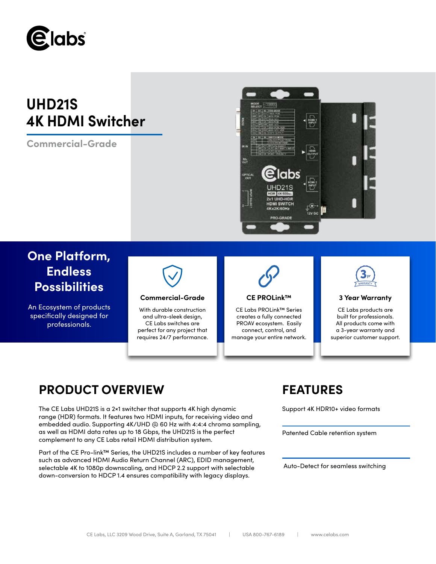

# **UHD21S 4K HDMI Switcher**

**Commercial-Grade**



## **One Platform, Endless Possibilities**

An Ecosystem of products specifically designed for professionals.



### **Commercial-Grade CE PROLink™ 3 Year Warranty**

With durable construction and ultra-sleek design, CE Labs switches are perfect for any project that requires 24/7 performance.



CE Labs PROLink™ Series creates a fully connected PROAV ecosystem. Easily connect, control, and manage your entire network.



CE Labs products are built for professionals. All products come with a 3-year warranty and superior customer support.

## **PRODUCT OVERVIEW FEATURES**

The CE Labs UHD21S is a 2×1 switcher that supports 4K high dynamic range (HDR) formats. It features two HDMI inputs, for receiving video and embedded audio. Supporting 4K/UHD @ 60 Hz with 4:4:4 chroma sampling, as well as HDMI data rates up to 18 Gbps, the UHD21S is the perfect complement to any CE Labs retail HDMI distribution system.

Part of the CE Pro-link™ Series, the UHD21S includes a number of key features such as advanced HDMI Audio Return Channel (ARC), EDID management, selectable 4K to 1080p downscaling, and HDCP 2.2 support with selectable down-conversion to HDCP 1.4 ensures compatibility with legacy displays.

Support 4K HDR10+ video formats

Patented Cable retention system

Auto-Detect for seamless switching